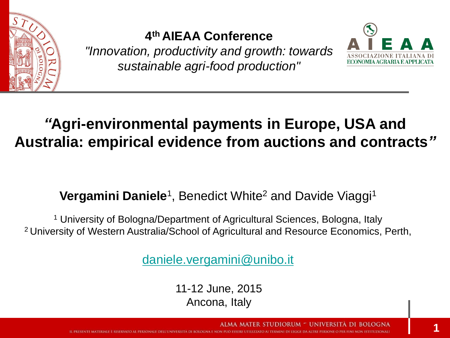

#### **4 th AIEAA Conference**

*"Innovation, productivity and growth: towards sustainable agri-food production"*



### *"***Agri-environmental payments in Europe, USA and Australia: empirical evidence from auctions and contracts***"*

#### **Vergamini Daniele<sup>1</sup>**, Benedict White<sup>2</sup> and Davide Viaggi<sup>1</sup>

<sup>1</sup> University of Bologna/Department of Agricultural Sciences, Bologna, Italy <sup>2</sup>University of Western Australia/School of Agricultural and Resource Economics, Perth,

[daniele.vergamini@unibo.it](mailto:daniele.vergamini@unibo.it)

11-12 June, 2015 Ancona, Italy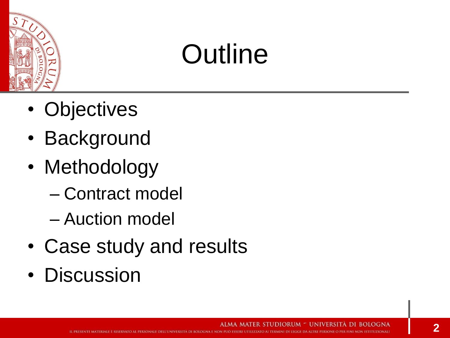

### **Outline**

- Objectives
- Background
- Methodology
	- Contract model
	- Auction model
- Case study and results
- Discussion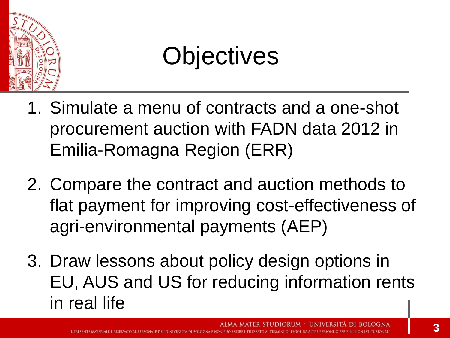

### **Objectives**

- 1. Simulate a menu of contracts and a one-shot procurement auction with FADN data 2012 in Emilia-Romagna Region (ERR)
- 2. Compare the contract and auction methods to flat payment for improving cost-effectiveness of agri-environmental payments (AEP)
- 3. Draw lessons about policy design options in EU, AUS and US for reducing information rents in real life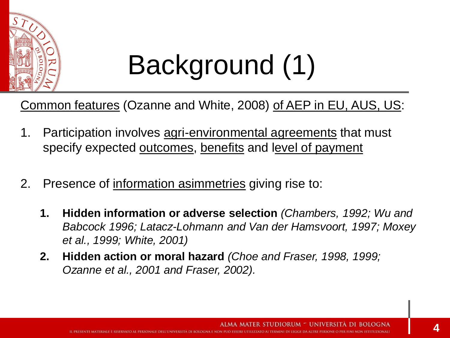

## Background (1)

Common features (Ozanne and White, 2008) of AEP in EU, AUS, US:

- 1. Participation involves agri-environmental agreements that must specify expected outcomes, benefits and level of payment
- 2. Presence of information asimmetries giving rise to:
	- **1. Hidden information or adverse selection** *(Chambers, 1992; Wu and Babcock 1996; Latacz-Lohmann and Van der Hamsvoort, 1997; Moxey et al., 1999; White, 2001)*
	- **2. Hidden action or moral hazard** *(Choe and Fraser, 1998, 1999; Ozanne et al., 2001 and Fraser, 2002).*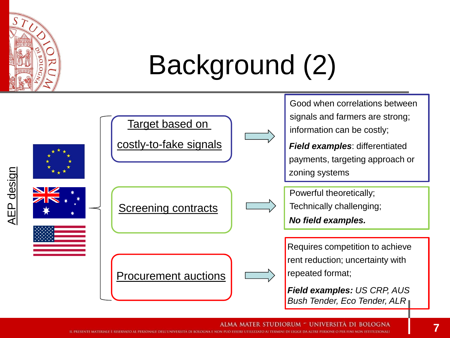

### Background (2)

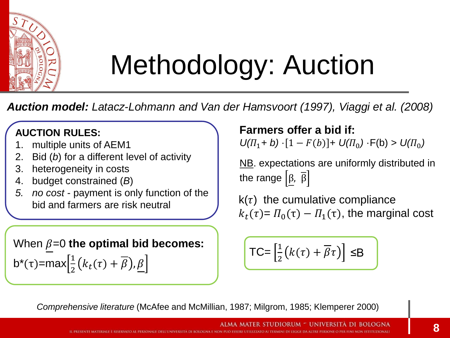

## Methodology: Auction

*Auction model: Latacz-Lohmann and Van der Hamsvoort (1997), Viaggi et al. (2008)*

#### **AUCTION RULES:**

- 1. multiple units of AEM1
- 2. Bid (*b*) for a different level of activity
- 3. heterogeneity in costs
- 4. budget constrained (*B*)
- *5. no cost* payment is only function of the bid and farmers are risk neutral

When  $\beta$ =0 **the optimal bid becomes:** b<sup>\*</sup>(τ)=max $\left[\frac{1}{2}\right]$  $\frac{1}{2}(k_t(\tau)+\beta), \underline{\beta}$ 

**Farmers offer a bid if:**  $U(\Pi_1 + b) \cdot [1 - F(b)] + U(\Pi_0) \cdot F(b) > U(\Pi_0)$ 

NB. expectations are uniformly distributed in the range  $\left[\beta, \overline{\beta}\right]$ 

 $k(\tau)$  the cumulative compliance  $k_t(\tau) = \Pi_0(\tau) - \Pi_1(\tau)$ , the marginal cost

$$
\mathsf{TC} = \left[\frac{1}{2}\left(k(\tau) + \overline{\beta}\tau\right)\right] \leq B
$$

*Comprehensive literature* (McAfee and McMillian, 1987; Milgrom, 1985; Klemperer 2000)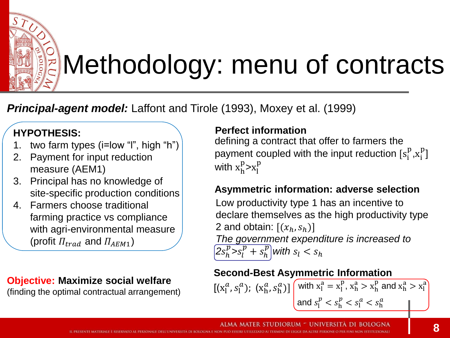

### Methodology: menu of contracts

*Principal-agent model:* Laffont and Tirole (1993), Moxey et al. (1999)

#### **HYPOTHESIS:**

- 1. two farm types (i=low "l", high "h")
- 2. Payment for input reduction measure (AEM1)
- 3. Principal has no knowledge of site-specific production conditions
- 4. Farmers choose traditional farming practice vs compliance with agri-environmental measure (profit  $\Pi_{trad}$  and  $\Pi_{AFM1}$ )

#### **Objective: Maximize social welfare**

(finding the optimal contractual arrangement)

#### **Perfect information**

defining a contract that offer to farmers the payment coupled with the input reduction  $[s_i^p, x_i^p]$ with  $x_h^p > x_l^p$ 

#### **Asymmetric information: adverse selection**

Low productivity type 1 has an incentive to declare themselves as the high productivity type 2 and obtain:  $[(x_h, s_h)]$ *The government expenditure is increased to*   $\sqrt{2s_h^p s_b^p + s_h^p}$  with  $s_l < s_h$ 

#### **Second-Best Asymmetric Information**

 $[(x_1^a, s_1^a); (x_n^a, s_n^a)]$  with  $x_1^a = x_1^p, x_n^a > x_n^p$  and  $x_n^a > x_1^a$ and  $s_l^p < s_h^p < s_l^a < s_h^a$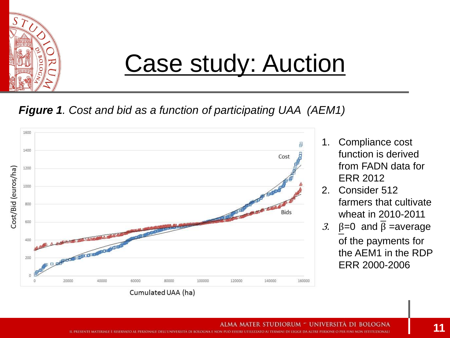

### Case study: Auction

#### *Figure 1. Cost and bid as a function of participating UAA (AEM1)*



- 1. Compliance cost function is derived from FADN data for ERR 2012
- 2. Consider 512 farmers that cultivate wheat in 2010-2011
- 3.  $\beta = 0$  and  $\overline{\beta}$  = average of the payments for the AEM1 in the RDP ERR 2000-2006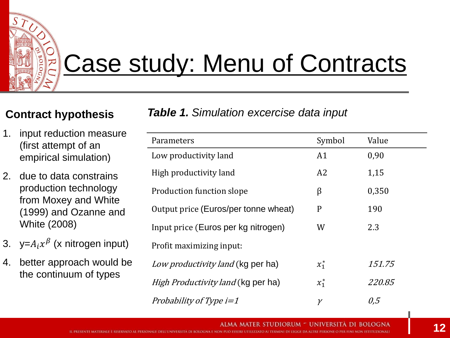### Case study: Menu of Contracts

- 1. input reduction measure (first attempt of an empirical simulation)
- 2. due to data constrains production technology from Moxey and White (1999) and Ozanne and White (2008)
- 3. y= $A_i x^{\beta}$  (x nitrogen input)
- 4. better approach would be the continuum of types

**Contract hypothesis** *Table 1. Simulation excercise data input*

| Parameters                                | Symbol         | Value  |
|-------------------------------------------|----------------|--------|
| Low productivity land                     | A <sub>1</sub> | 0,90   |
| High productivity land                    | A2             | 1,15   |
| Production function slope                 | β              | 0,350  |
| Output price (Euros/per tonne wheat)      | P              | 190    |
| Input price (Euros per kg nitrogen)       | W              | 2.3    |
| Profit maximizing input:                  |                |        |
| Low productivity land (kg per ha)         | $x_1^*$        | 151.75 |
| <i>High Productivity land</i> (kg per ha) | $x_1^*$        | 220.85 |
| Probability of Type $i=1$                 |                | 0.5    |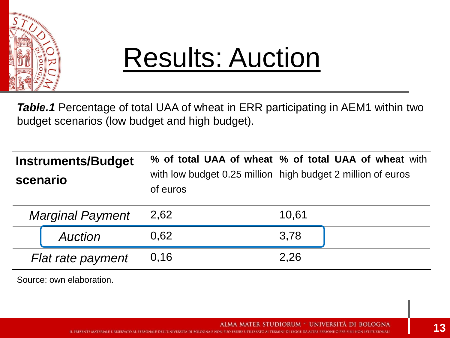

### Results: Auction

**Table.1** Percentage of total UAA of wheat in ERR participating in AEM1 within two budget scenarios (low budget and high budget).

| scenario | <b>Instruments/Budget</b> | of euros | % of total UAA of wheat  % of total UAA of wheat with<br>with low budget 0.25 million   high budget 2 million of euros |
|----------|---------------------------|----------|------------------------------------------------------------------------------------------------------------------------|
|          | <b>Marginal Payment</b>   | 2,62     | 10,61                                                                                                                  |
|          | <b>Auction</b>            | 0,62     | 3,78                                                                                                                   |
|          | Flat rate payment         | 0,16     | 2,26                                                                                                                   |

Source: own elaboration.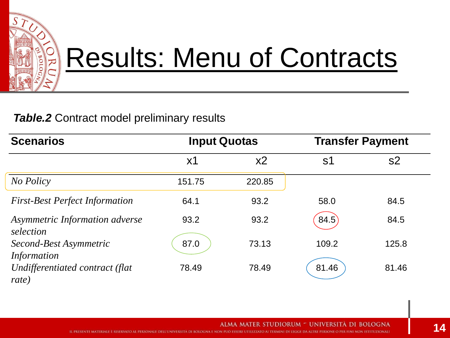

### Results: Menu of Contracts

#### **Table.2** Contract model preliminary results

| <b>Scenarios</b>                            | <b>Input Quotas</b> |                | <b>Transfer Payment</b> |                |
|---------------------------------------------|---------------------|----------------|-------------------------|----------------|
|                                             | $x_1$               | x <sub>2</sub> | S <sub>1</sub>          | s <sub>2</sub> |
| No Policy                                   | 151.75              | 220.85         |                         |                |
| <b>First-Best Perfect Information</b>       | 64.1                | 93.2           | 58.0                    | 84.5           |
| Asymmetric Information adverse<br>selection | 93.2                | 93.2           | 84.5                    | 84.5           |
| Second-Best Asymmetric<br>Information       | 87.0                | 73.13          | 109.2                   | 125.8          |
| Undifferentiated contract (flat<br>rate)    | 78.49               | 78.49          | 81.46                   | 81.46          |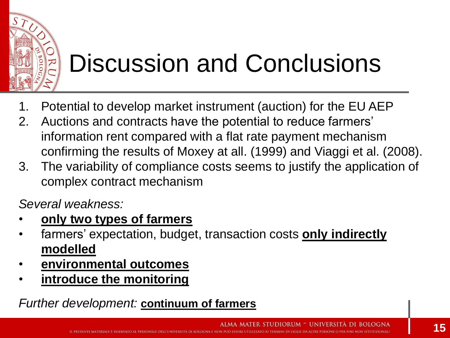

### Discussion and Conclusions

- 1. Potential to develop market instrument (auction) for the EU AEP
- 2. Auctions and contracts have the potential to reduce farmers' information rent compared with a flat rate payment mechanism confirming the results of Moxey at all. (1999) and Viaggi et al. (2008).
- 3. The variability of compliance costs seems to justify the application of complex contract mechanism

*Several weakness:*

- **only two types of farmers**
- farmers' expectation, budget, transaction costs **only indirectly modelled**
- **environmental outcomes**
- **introduce the monitoring**

#### *Further development:* **continuum of farmers**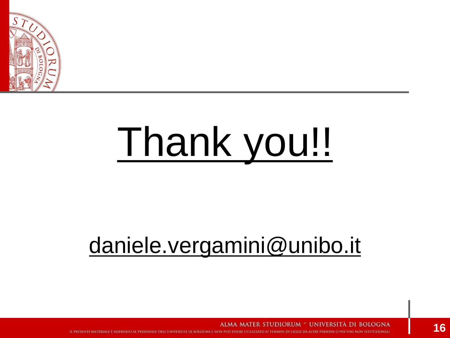

# Thank you!!

### daniele.vergamini@unibo.it

ALMA MATER STUDIORUM - UNIVERSITA DI BOLOGNA

IL PRESENTE MATERIALE È RISERVATO AL PERSONALE DELL'UNIVERSITÀ DI BOLOGNA E NON PUÒ ESSERE UTILIZZATO AI TERMINI DI LEGGE DA ALTRE PERSONE O PER FINI NON ISTITUZIONALI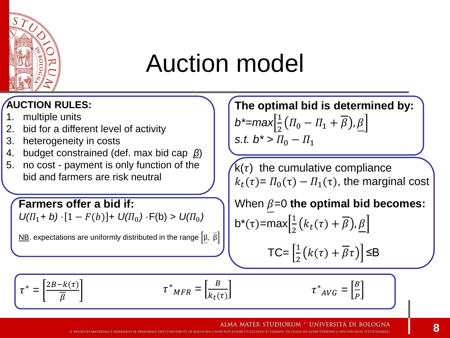

### Auction model

#### **AUCTION RULES:**

- 1. multiple units
- 2. bid for a different level of activity
- 3. heterogeneity in costs
- 4. budget constrained (def. max bid cap *β*)
- 5. no cost payment is only function of the bid and farmers are risk neutral

#### **Farmers offer a bid if:**

 $U(\Pi_1 + b) \cdot [1 - F(b)] + U(\Pi_0) \cdot F(b) > U(\Pi_0)$ 

NB. expectations are uniformly distributed in the range  $\left[\beta, \overline{\beta}\right]$ 

**The optimal bid is determined by:**  $b^*$ =max $\frac{1}{2}$  $\frac{1}{2}(T_0 - T_1 + \beta), \underline{\beta}$ *s.t.*  $b^* > \Pi_0 - \Pi_1$ 

 $k(\tau)$  the cumulative compliance  $k_t(\tau) = \Pi_0(\tau) - \Pi_1(\tau)$ , the marginal cost

When  $\beta$ =0 **the optimal bid becomes:** b<sup>\*</sup>(τ)=max $\left[\frac{1}{2}\right]$  $\frac{1}{2}(k_t(\tau)+\beta), \underline{\beta}$  $TC = \frac{1}{2}$  $\frac{1}{2}(k(\tau)+\beta\tau)]$   $\leq$ B

 $\tau^*_{AVG} = \left[\frac{B}{R}\right]$ 

 $\overline{P}$ 

$$
\tau^* = \left[\frac{2B - k(\tau)}{\overline{\beta}}\right]
$$

 $k_t(\tau)$ 

 $\tau^*_{MFR} = \left[\frac{B}{k_{\perp}G}\right]$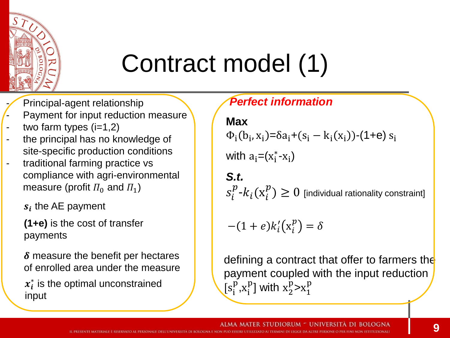

### Contract model (1)

Principal-agent relationship

- Payment for input reduction measure
- two farm types  $(i=1,2)$
- the principal has no knowledge of site-specific production conditions
- traditional farming practice vs compliance with agri-environmental measure (profit  $\Pi_0$  and  $\Pi_1$ )

 $s_i$  the AE payment

**(1+e)** is the cost of transfer payments

 $\delta$  measure the benefit per hectares of enrolled area under the measure

 $x_i^*$  is the optimal unconstrained input

*Perfect information* **Max**

$$
\Phi_i(b_i, x_i) = \delta a_i + (s_i - k_i(x_i)) - (1 + e) s_i
$$

with  $a_i = (x_i^* - x_i)$ 

*S.t.*  $s^p_i$ - $k_i(\mathrm{x}^p_i) \geq 0$  [individual rationality constraint]

$$
-(1+e)k'_i(\mathbf{x}_i^p)=\delta
$$

defining a contract that offer to farmers the payment coupled with the input reduction  $[s_i^{\rm I}$  $\frac{p}{p}$ , $x_i^p$ ] with  $x_2^p > x_1^p$